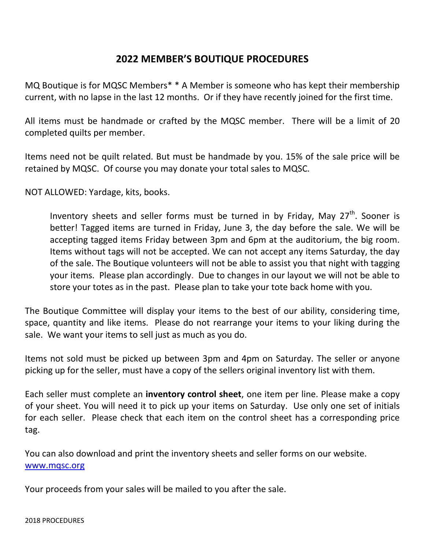## **2022 MEMBER'S BOUTIQUE PROCEDURES**

MQ Boutique is for MQSC Members\* \* A Member is someone who has kept their membership current, with no lapse in the last 12 months. Or if they have recently joined for the first time.

All items must be handmade or crafted by the MQSC member. There will be a limit of 20 completed quilts per member.

Items need not be quilt related. But must be handmade by you. 15% of the sale price will be retained by MQSC. Of course you may donate your total sales to MQSC.

NOT ALLOWED: Yardage, kits, books.

Inventory sheets and seller forms must be turned in by Friday, May  $27<sup>th</sup>$ . Sooner is better! Tagged items are turned in Friday, June 3, the day before the sale. We will be accepting tagged items Friday between 3pm and 6pm at the auditorium, the big room. Items without tags will not be accepted. We can not accept any items Saturday, the day of the sale. The Boutique volunteers will not be able to assist you that night with tagging your items. Please plan accordingly. Due to changes in our layout we will not be able to store your totes as in the past. Please plan to take your tote back home with you.

The Boutique Committee will display your items to the best of our ability, considering time, space, quantity and like items. Please do not rearrange your items to your liking during the sale. We want your items to sell just as much as you do.

Items not sold must be picked up between 3pm and 4pm on Saturday. The seller or anyone picking up for the seller, must have a copy of the sellers original inventory list with them.

Each seller must complete an **inventory control sheet**, one item per line. Please make a copy of your sheet. You will need it to pick up your items on Saturday. Use only one set of initials for each seller. Please check that each item on the control sheet has a corresponding price tag.

You can also download and print the inventory sheets and seller forms on our website. [www.mqsc.org](http://www.mqsc.org/)

Your proceeds from your sales will be mailed to you after the sale.